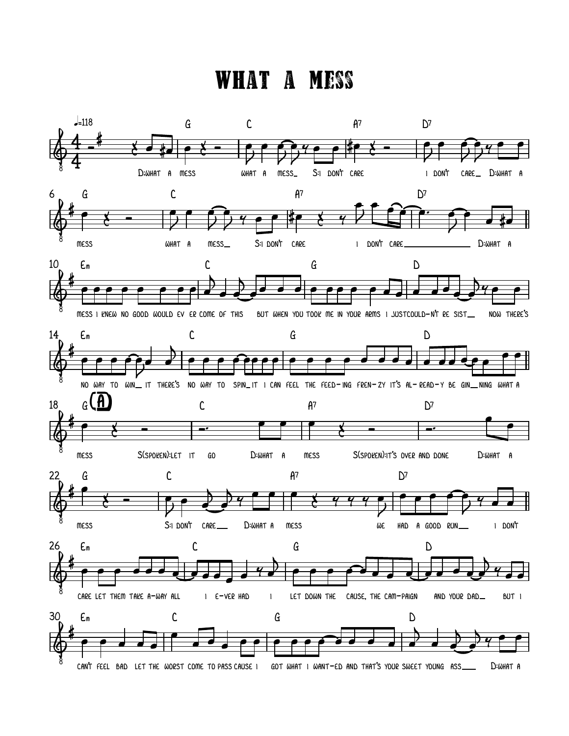## WHAT A MESS